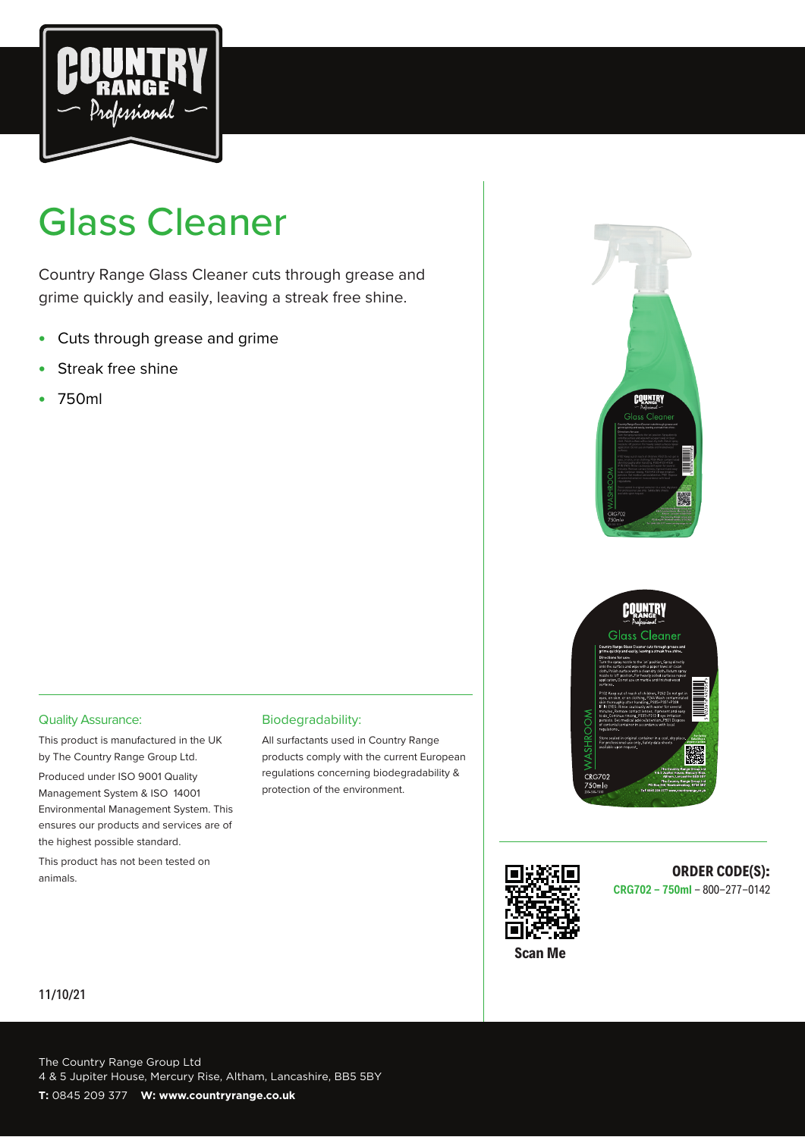

# Glass Cleaner

Country Range Glass Cleaner cuts through grease and grime quickly and easily, leaving a streak free shine.

- Cuts through grease and grime
- Streak free shine
- 750ml







## **CRG702 - 750ml** - 800-277-0142

Quality Assurance:

This product is manufactured in the UK by The Country Range Group Ltd.

Produced under ISO 9001 Quality Management System & ISO 14001 Environmental Management System. This ensures our products and services are of the highest possible standard.

This product has not been tested on animals. **ORDER CODE(S): ORDER CODE(S): ORDER CODE(S):** 

#### Biodegradability:

All surfactants used in Country Range products comply with the current European regulations concerning biodegradability & protection of the environment.

#### 11/10/21

The Country Range Group Ltd 4 & 5 Jupiter House, Mercury Rise, Altham, Lancashire, BB5 5BY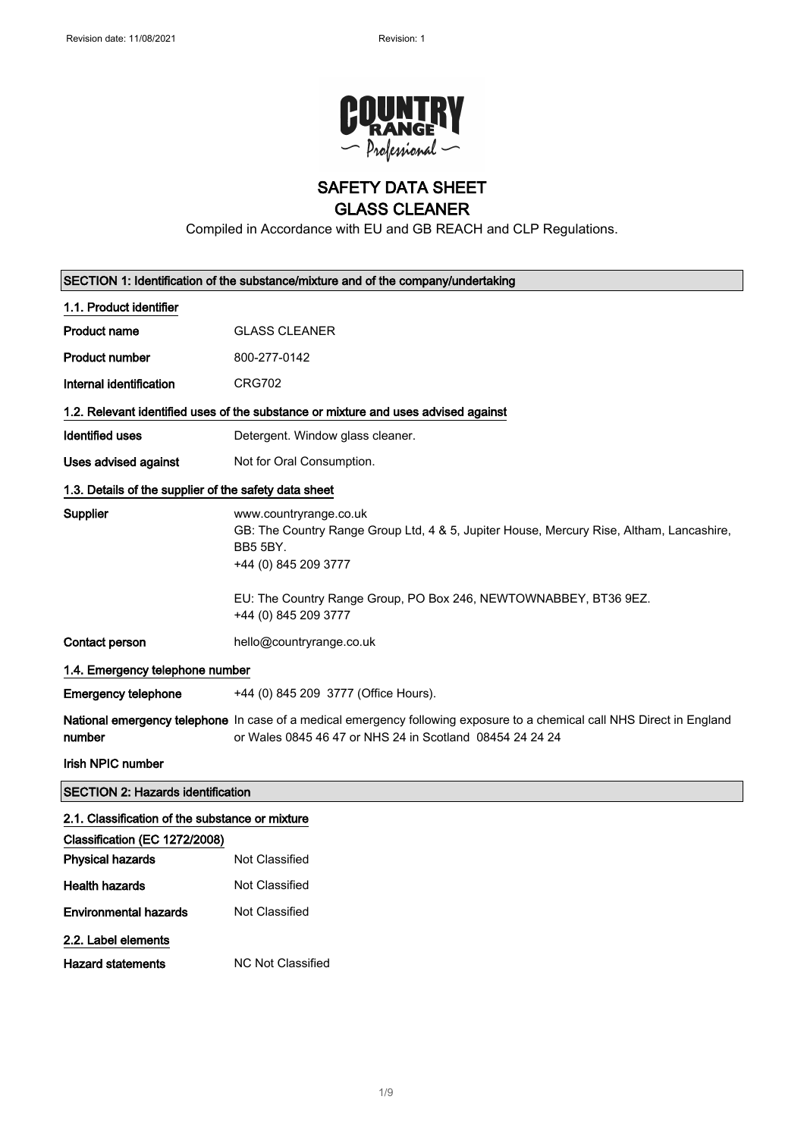

## SAFETY DATA SHEET

## GLASS CLEANER

Compiled in Accordance with EU and GB REACH and CLP Regulations.

|                                                       | SECTION 1: Identification of the substance/mixture and of the company/undertaking                                                                                                          |  |
|-------------------------------------------------------|--------------------------------------------------------------------------------------------------------------------------------------------------------------------------------------------|--|
| 1.1. Product identifier                               |                                                                                                                                                                                            |  |
| Product name                                          | <b>GLASS CLEANER</b>                                                                                                                                                                       |  |
| <b>Product number</b>                                 | 800-277-0142                                                                                                                                                                               |  |
| Internal identification                               | <b>CRG702</b>                                                                                                                                                                              |  |
|                                                       | 1.2. Relevant identified uses of the substance or mixture and uses advised against                                                                                                         |  |
| Identified uses                                       | Detergent. Window glass cleaner.                                                                                                                                                           |  |
| Uses advised against                                  | Not for Oral Consumption.                                                                                                                                                                  |  |
| 1.3. Details of the supplier of the safety data sheet |                                                                                                                                                                                            |  |
| Supplier                                              | www.countryrange.co.uk<br>GB: The Country Range Group Ltd, 4 & 5, Jupiter House, Mercury Rise, Altham, Lancashire,<br><b>BB5 5BY.</b><br>+44 (0) 845 209 3777                              |  |
|                                                       | EU: The Country Range Group, PO Box 246, NEWTOWNABBEY, BT36 9EZ.<br>+44 (0) 845 209 3777                                                                                                   |  |
| Contact person                                        | hello@countryrange.co.uk                                                                                                                                                                   |  |
| 1.4. Emergency telephone number                       |                                                                                                                                                                                            |  |
| <b>Emergency telephone</b>                            | +44 (0) 845 209 3777 (Office Hours).                                                                                                                                                       |  |
| number                                                | <b>National emergency telephone</b> In case of a medical emergency following exposure to a chemical call NHS Direct in England<br>or Wales 0845 46 47 or NHS 24 in Scotland 08454 24 24 24 |  |
| <b>Irish NPIC number</b>                              |                                                                                                                                                                                            |  |
| <b>SECTION 2: Hazards identification</b>              |                                                                                                                                                                                            |  |
| 2.1. Classification of the substance or mixture       |                                                                                                                                                                                            |  |
| Classification (EC 1272/2008)                         |                                                                                                                                                                                            |  |
| <b>Physical hazards</b>                               | Not Classified                                                                                                                                                                             |  |
| <b>Health hazards</b>                                 | Not Classified                                                                                                                                                                             |  |
| <b>Environmental hazards</b>                          | Not Classified                                                                                                                                                                             |  |
| 2.2. Label elements                                   |                                                                                                                                                                                            |  |
| <b>Hazard statements</b>                              | <b>NC Not Classified</b>                                                                                                                                                                   |  |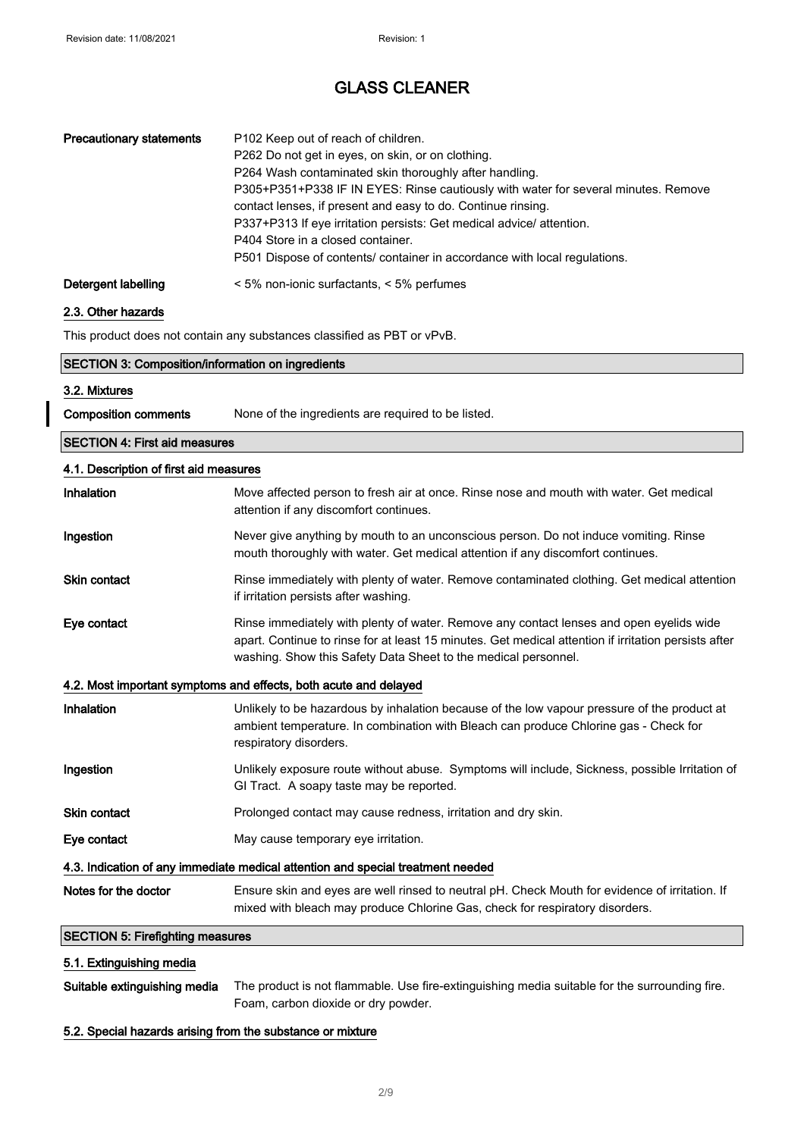| <b>Precautionary statements</b> | P102 Keep out of reach of children.<br>P262 Do not get in eyes, on skin, or on clothing.<br>P264 Wash contaminated skin thoroughly after handling.<br>P305+P351+P338 IF IN EYES: Rinse cautiously with water for several minutes. Remove<br>contact lenses, if present and easy to do. Continue rinsing.<br>P337+P313 If eye irritation persists: Get medical advice/ attention.<br>P404 Store in a closed container.<br>P501 Dispose of contents/ container in accordance with local regulations. |
|---------------------------------|----------------------------------------------------------------------------------------------------------------------------------------------------------------------------------------------------------------------------------------------------------------------------------------------------------------------------------------------------------------------------------------------------------------------------------------------------------------------------------------------------|
| Detergent labelling             | $\leq 5\%$ non-ionic surfactants, $\leq 5\%$ perfumes                                                                                                                                                                                                                                                                                                                                                                                                                                              |

#### 2.3. Other hazards

This product does not contain any substances classified as PBT or vPvB.

|                                                                                 | <b>SECTION 3: Composition/information on ingredients</b>                                                                                                                                                                                                          |  |
|---------------------------------------------------------------------------------|-------------------------------------------------------------------------------------------------------------------------------------------------------------------------------------------------------------------------------------------------------------------|--|
| 3.2. Mixtures                                                                   |                                                                                                                                                                                                                                                                   |  |
| <b>Composition comments</b>                                                     | None of the ingredients are required to be listed.                                                                                                                                                                                                                |  |
| <b>SECTION 4: First aid measures</b>                                            |                                                                                                                                                                                                                                                                   |  |
| 4.1. Description of first aid measures                                          |                                                                                                                                                                                                                                                                   |  |
| Inhalation                                                                      | Move affected person to fresh air at once. Rinse nose and mouth with water. Get medical<br>attention if any discomfort continues.                                                                                                                                 |  |
| Ingestion                                                                       | Never give anything by mouth to an unconscious person. Do not induce vomiting. Rinse<br>mouth thoroughly with water. Get medical attention if any discomfort continues.                                                                                           |  |
| Skin contact                                                                    | Rinse immediately with plenty of water. Remove contaminated clothing. Get medical attention<br>if irritation persists after washing.                                                                                                                              |  |
| Eye contact                                                                     | Rinse immediately with plenty of water. Remove any contact lenses and open eyelids wide<br>apart. Continue to rinse for at least 15 minutes. Get medical attention if irritation persists after<br>washing. Show this Safety Data Sheet to the medical personnel. |  |
|                                                                                 | 4.2. Most important symptoms and effects, both acute and delayed                                                                                                                                                                                                  |  |
| Inhalation                                                                      | Unlikely to be hazardous by inhalation because of the low vapour pressure of the product at<br>ambient temperature. In combination with Bleach can produce Chlorine gas - Check for<br>respiratory disorders.                                                     |  |
| Ingestion                                                                       | Unlikely exposure route without abuse. Symptoms will include, Sickness, possible Irritation of<br>GI Tract. A soapy taste may be reported.                                                                                                                        |  |
| Skin contact                                                                    | Prolonged contact may cause redness, irritation and dry skin.                                                                                                                                                                                                     |  |
| Eye contact                                                                     | May cause temporary eye irritation.                                                                                                                                                                                                                               |  |
| 4.3. Indication of any immediate medical attention and special treatment needed |                                                                                                                                                                                                                                                                   |  |
| Notes for the doctor                                                            | Ensure skin and eyes are well rinsed to neutral pH. Check Mouth for evidence of irritation. If                                                                                                                                                                    |  |

## SECTION 5: Firefighting measures

#### 5.1. Extinguishing media

| Suitable extinguishing media | The product is not flammable. Use fire-extinguishing media suitable for the surrounding fire. |
|------------------------------|-----------------------------------------------------------------------------------------------|
|                              | Foam, carbon dioxide or dry powder.                                                           |

mixed with bleach may produce Chlorine Gas, check for respiratory disorders.

## 5.2. Special hazards arising from the substance or mixture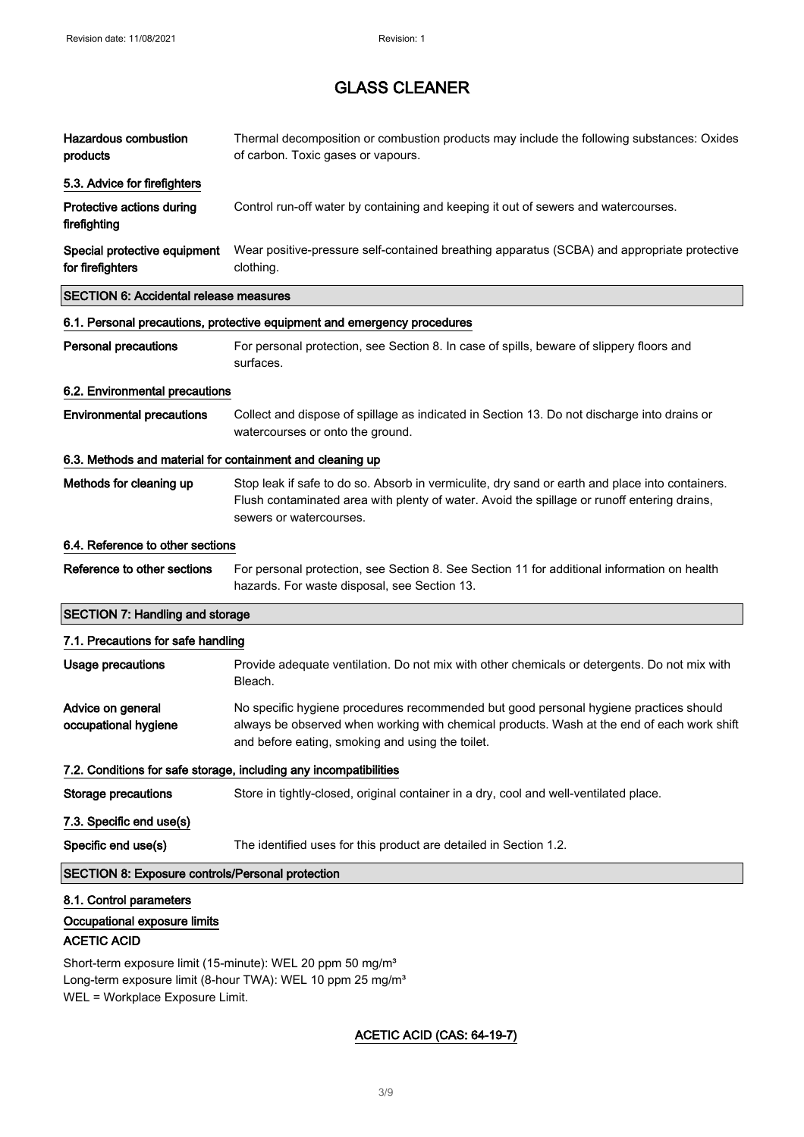| <b>Hazardous combustion</b><br>products                   | Thermal decomposition or combustion products may include the following substances: Oxides<br>of carbon. Toxic gases or vapours.                                                                                                         |
|-----------------------------------------------------------|-----------------------------------------------------------------------------------------------------------------------------------------------------------------------------------------------------------------------------------------|
| 5.3. Advice for firefighters                              |                                                                                                                                                                                                                                         |
| Protective actions during<br>firefighting                 | Control run-off water by containing and keeping it out of sewers and watercourses.                                                                                                                                                      |
| Special protective equipment<br>for firefighters          | Wear positive-pressure self-contained breathing apparatus (SCBA) and appropriate protective<br>clothing.                                                                                                                                |
| <b>SECTION 6: Accidental release measures</b>             |                                                                                                                                                                                                                                         |
|                                                           | 6.1. Personal precautions, protective equipment and emergency procedures                                                                                                                                                                |
| <b>Personal precautions</b>                               | For personal protection, see Section 8. In case of spills, beware of slippery floors and<br>surfaces.                                                                                                                                   |
| 6.2. Environmental precautions                            |                                                                                                                                                                                                                                         |
| <b>Environmental precautions</b>                          | Collect and dispose of spillage as indicated in Section 13. Do not discharge into drains or<br>watercourses or onto the ground.                                                                                                         |
| 6.3. Methods and material for containment and cleaning up |                                                                                                                                                                                                                                         |
| Methods for cleaning up                                   | Stop leak if safe to do so. Absorb in vermiculite, dry sand or earth and place into containers.<br>Flush contaminated area with plenty of water. Avoid the spillage or runoff entering drains,<br>sewers or watercourses.               |
| 6.4. Reference to other sections                          |                                                                                                                                                                                                                                         |
| Reference to other sections                               | For personal protection, see Section 8. See Section 11 for additional information on health<br>hazards. For waste disposal, see Section 13.                                                                                             |
| <b>SECTION 7: Handling and storage</b>                    |                                                                                                                                                                                                                                         |
| 7.1. Precautions for safe handling                        |                                                                                                                                                                                                                                         |
| Usage precautions                                         | Provide adequate ventilation. Do not mix with other chemicals or detergents. Do not mix with<br>Bleach.                                                                                                                                 |
| Advice on general<br>occupational hygiene                 | No specific hygiene procedures recommended but good personal hygiene practices should<br>always be observed when working with chemical products. Wash at the end of each work shift<br>and before eating, smoking and using the toilet. |
|                                                           | 7.2. Conditions for safe storage, including any incompatibilities                                                                                                                                                                       |
| <b>Storage precautions</b>                                | Store in tightly-closed, original container in a dry, cool and well-ventilated place.                                                                                                                                                   |
| 7.3. Specific end use(s)                                  |                                                                                                                                                                                                                                         |
| Specific end use(s)                                       | The identified uses for this product are detailed in Section 1.2.                                                                                                                                                                       |
| SECTION 8: Exposure controls/Personal protection          |                                                                                                                                                                                                                                         |
| 8.1. Control parameters                                   |                                                                                                                                                                                                                                         |

## ACETIC ACID

Short-term exposure limit (15-minute): WEL 20 ppm 50 mg/m<sup>3</sup> Long-term exposure limit (8-hour TWA): WEL 10 ppm 25 mg/m<sup>3</sup> WEL = Workplace Exposure Limit.

## ACETIC ACID (CAS: 64-19-7)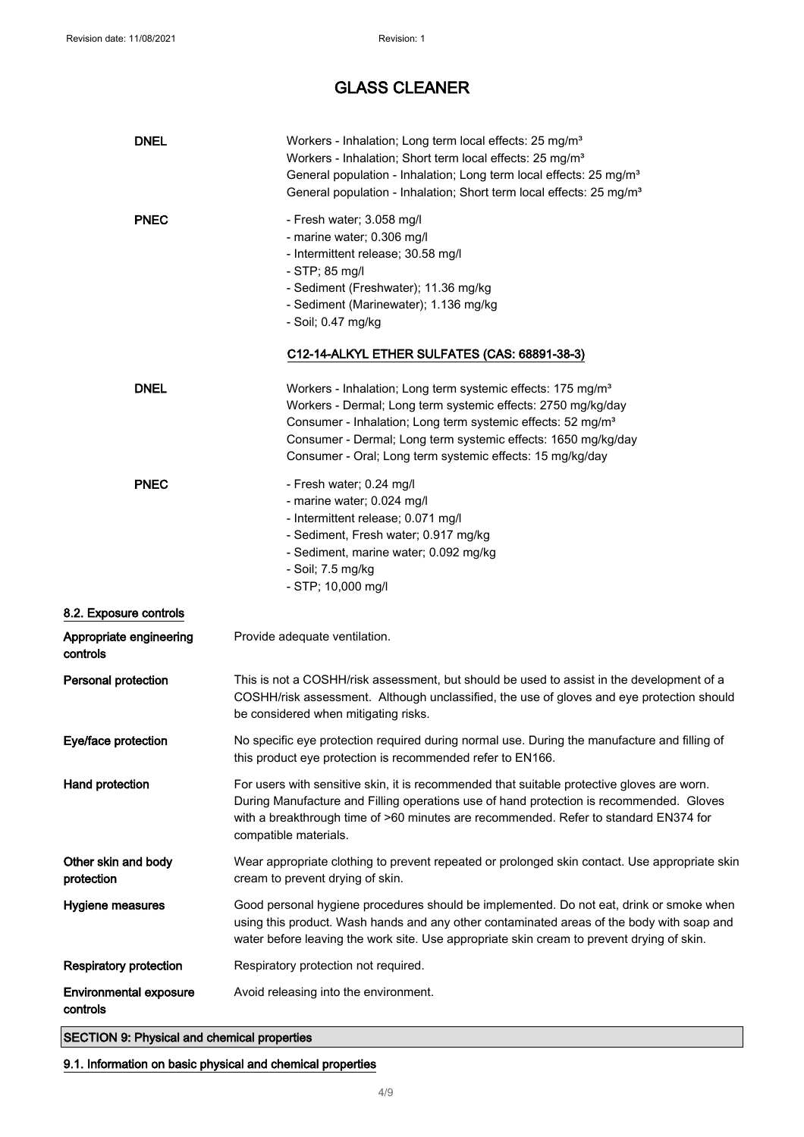| <b>DNEL</b>                               | Workers - Inhalation; Long term local effects: 25 mg/m <sup>3</sup><br>Workers - Inhalation; Short term local effects: 25 mg/m <sup>3</sup><br>General population - Inhalation; Long term local effects: 25 mg/m <sup>3</sup><br>General population - Inhalation; Short term local effects: 25 mg/m <sup>3</sup>                                 |
|-------------------------------------------|--------------------------------------------------------------------------------------------------------------------------------------------------------------------------------------------------------------------------------------------------------------------------------------------------------------------------------------------------|
| <b>PNEC</b>                               | - Fresh water; 3.058 mg/l<br>- marine water; 0.306 mg/l<br>- Intermittent release; 30.58 mg/l<br>- STP; 85 mg/l<br>- Sediment (Freshwater); 11.36 mg/kg<br>- Sediment (Marinewater); 1.136 mg/kg<br>- Soil; 0.47 mg/kg                                                                                                                           |
|                                           | C12-14-ALKYL ETHER SULFATES (CAS: 68891-38-3)                                                                                                                                                                                                                                                                                                    |
| <b>DNEL</b>                               | Workers - Inhalation; Long term systemic effects: 175 mg/m <sup>3</sup><br>Workers - Dermal; Long term systemic effects: 2750 mg/kg/day<br>Consumer - Inhalation; Long term systemic effects: 52 mg/m <sup>3</sup><br>Consumer - Dermal; Long term systemic effects: 1650 mg/kg/day<br>Consumer - Oral; Long term systemic effects: 15 mg/kg/day |
| <b>PNEC</b>                               | - Fresh water; 0.24 mg/l<br>- marine water; 0.024 mg/l<br>- Intermittent release; 0.071 mg/l<br>- Sediment, Fresh water; 0.917 mg/kg<br>- Sediment, marine water; 0.092 mg/kg<br>- Soil; 7.5 mg/kg<br>- STP; 10,000 mg/l                                                                                                                         |
| 8.2. Exposure controls                    |                                                                                                                                                                                                                                                                                                                                                  |
| Appropriate engineering<br>controls       | Provide adequate ventilation.                                                                                                                                                                                                                                                                                                                    |
| Personal protection                       | This is not a COSHH/risk assessment, but should be used to assist in the development of a<br>COSHH/risk assessment. Although unclassified, the use of gloves and eye protection should<br>be considered when mitigating risks.                                                                                                                   |
| Eye/face protection                       | No specific eye protection required during normal use. During the manufacture and filling of<br>this product eye protection is recommended refer to EN166.                                                                                                                                                                                       |
| Hand protection                           | For users with sensitive skin, it is recommended that suitable protective gloves are worn.<br>During Manufacture and Filling operations use of hand protection is recommended. Gloves<br>with a breakthrough time of >60 minutes are recommended. Refer to standard EN374 for<br>compatible materials.                                           |
| Other skin and body<br>protection         | Wear appropriate clothing to prevent repeated or prolonged skin contact. Use appropriate skin<br>cream to prevent drying of skin.                                                                                                                                                                                                                |
| Hygiene measures                          | Good personal hygiene procedures should be implemented. Do not eat, drink or smoke when<br>using this product. Wash hands and any other contaminated areas of the body with soap and<br>water before leaving the work site. Use appropriate skin cream to prevent drying of skin.                                                                |
| <b>Respiratory protection</b>             | Respiratory protection not required.                                                                                                                                                                                                                                                                                                             |
| <b>Environmental exposure</b><br>controls | Avoid releasing into the environment.                                                                                                                                                                                                                                                                                                            |

SECTION 9: Physical and chemical properties

9.1. Information on basic physical and chemical properties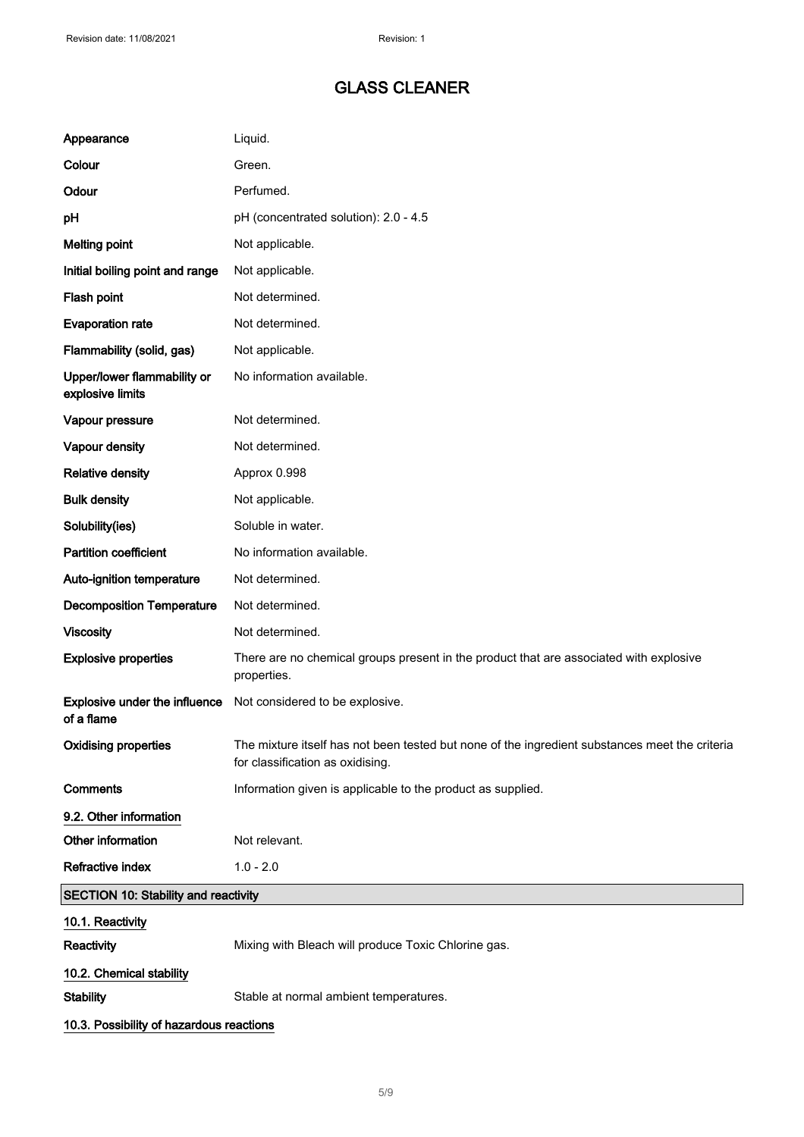| Appearance                                         | Liquid.                                                                                                                            |
|----------------------------------------------------|------------------------------------------------------------------------------------------------------------------------------------|
| Colour                                             | Green.                                                                                                                             |
| Odour                                              | Perfumed.                                                                                                                          |
| pH                                                 | pH (concentrated solution): 2.0 - 4.5                                                                                              |
| <b>Melting point</b>                               | Not applicable.                                                                                                                    |
| Initial boiling point and range                    | Not applicable.                                                                                                                    |
| Flash point                                        | Not determined.                                                                                                                    |
| <b>Evaporation rate</b>                            | Not determined.                                                                                                                    |
| Flammability (solid, gas)                          | Not applicable.                                                                                                                    |
| Upper/lower flammability or<br>explosive limits    | No information available.                                                                                                          |
| Vapour pressure                                    | Not determined.                                                                                                                    |
| Vapour density                                     | Not determined.                                                                                                                    |
| <b>Relative density</b>                            | Approx 0.998                                                                                                                       |
| <b>Bulk density</b>                                | Not applicable.                                                                                                                    |
| Solubility(ies)                                    | Soluble in water.                                                                                                                  |
| <b>Partition coefficient</b>                       | No information available.                                                                                                          |
| Auto-ignition temperature                          | Not determined.                                                                                                                    |
| <b>Decomposition Temperature</b>                   | Not determined.                                                                                                                    |
| <b>Viscosity</b>                                   | Not determined.                                                                                                                    |
| <b>Explosive properties</b>                        | There are no chemical groups present in the product that are associated with explosive<br>properties.                              |
| <b>Explosive under the influence</b><br>of a flame | Not considered to be explosive.                                                                                                    |
| <b>Oxidising properties</b>                        | The mixture itself has not been tested but none of the ingredient substances meet the criteria<br>for classification as oxidising. |
| Comments                                           | Information given is applicable to the product as supplied.                                                                        |
| 9.2. Other information                             |                                                                                                                                    |
| Other information                                  | Not relevant.                                                                                                                      |
| <b>Refractive index</b>                            | $1.0 - 2.0$                                                                                                                        |
| <b>SECTION 10: Stability and reactivity</b>        |                                                                                                                                    |
| 10.1. Reactivity                                   |                                                                                                                                    |
| Reactivity                                         | Mixing with Bleach will produce Toxic Chlorine gas.                                                                                |
| 10.2. Chemical stability                           |                                                                                                                                    |
| <b>Stability</b>                                   | Stable at normal ambient temperatures.                                                                                             |
| 10.3. Possibility of hazardous reactions           |                                                                                                                                    |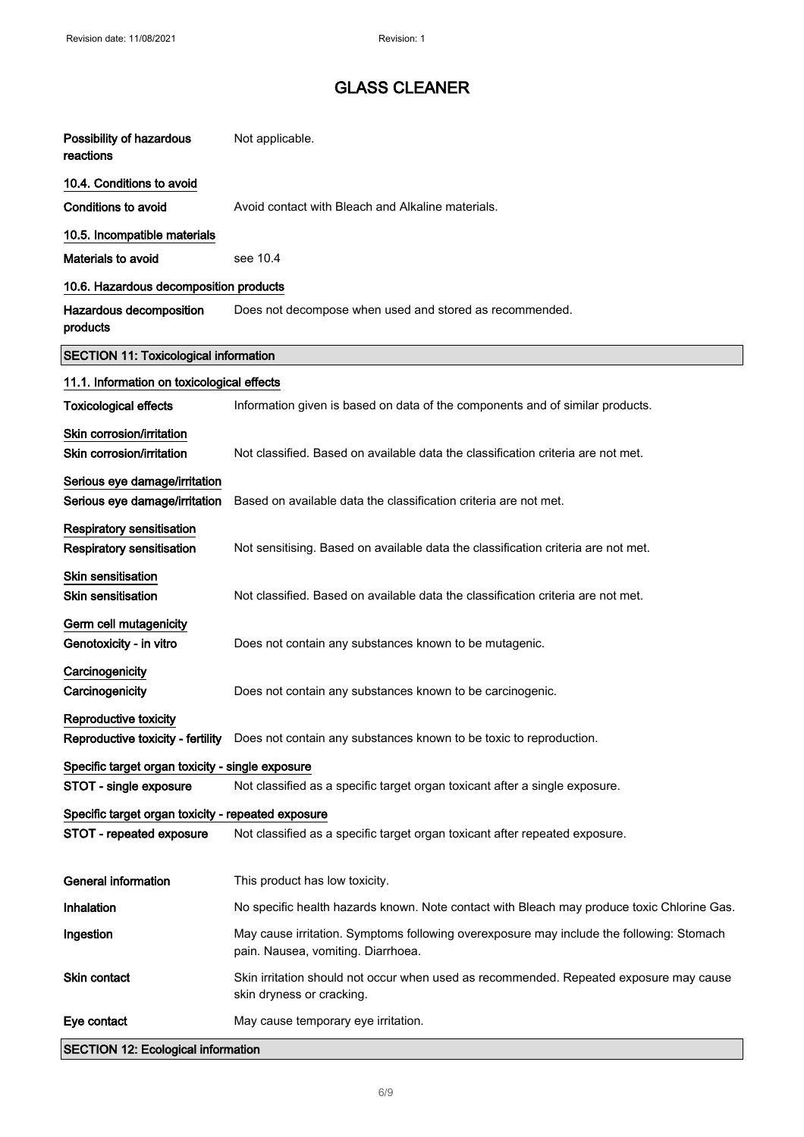| Possibility of hazardous<br>reactions                                          | Not applicable.                                                                                                                |
|--------------------------------------------------------------------------------|--------------------------------------------------------------------------------------------------------------------------------|
| 10.4. Conditions to avoid                                                      |                                                                                                                                |
| <b>Conditions to avoid</b>                                                     | Avoid contact with Bleach and Alkaline materials.                                                                              |
| 10.5. Incompatible materials                                                   |                                                                                                                                |
| Materials to avoid                                                             | see 10.4                                                                                                                       |
| 10.6. Hazardous decomposition products                                         |                                                                                                                                |
| Hazardous decomposition<br>products                                            | Does not decompose when used and stored as recommended.                                                                        |
| <b>SECTION 11: Toxicological information</b>                                   |                                                                                                                                |
| 11.1. Information on toxicological effects                                     |                                                                                                                                |
| <b>Toxicological effects</b>                                                   | Information given is based on data of the components and of similar products.                                                  |
| Skin corrosion/irritation<br>Skin corrosion/irritation                         | Not classified. Based on available data the classification criteria are not met.                                               |
| Serious eye damage/irritation<br>Serious eye damage/irritation                 | Based on available data the classification criteria are not met.                                                               |
| Respiratory sensitisation<br>Respiratory sensitisation                         | Not sensitising. Based on available data the classification criteria are not met.                                              |
| Skin sensitisation<br><b>Skin sensitisation</b>                                | Not classified. Based on available data the classification criteria are not met.                                               |
| Germ cell mutagenicity<br>Genotoxicity - in vitro                              | Does not contain any substances known to be mutagenic.                                                                         |
| Carcinogenicity<br>Carcinogenicity                                             | Does not contain any substances known to be carcinogenic.                                                                      |
| <b>Reproductive toxicity</b>                                                   | Reproductive toxicity - fertility  Does not contain any substances known to be toxic to reproduction.                          |
| Specific target organ toxicity - single exposure                               |                                                                                                                                |
| STOT - single exposure                                                         | Not classified as a specific target organ toxicant after a single exposure.                                                    |
| Specific target organ toxicity - repeated exposure<br>STOT - repeated exposure | Not classified as a specific target organ toxicant after repeated exposure.                                                    |
| <b>General information</b>                                                     | This product has low toxicity.                                                                                                 |
| Inhalation                                                                     | No specific health hazards known. Note contact with Bleach may produce toxic Chlorine Gas.                                     |
| Ingestion                                                                      | May cause irritation. Symptoms following overexposure may include the following: Stomach<br>pain. Nausea, vomiting. Diarrhoea. |
| Skin contact                                                                   | Skin irritation should not occur when used as recommended. Repeated exposure may cause<br>skin dryness or cracking.            |
| Eye contact                                                                    | May cause temporary eye irritation.                                                                                            |
| <b>SECTION 12: Ecological information</b>                                      |                                                                                                                                |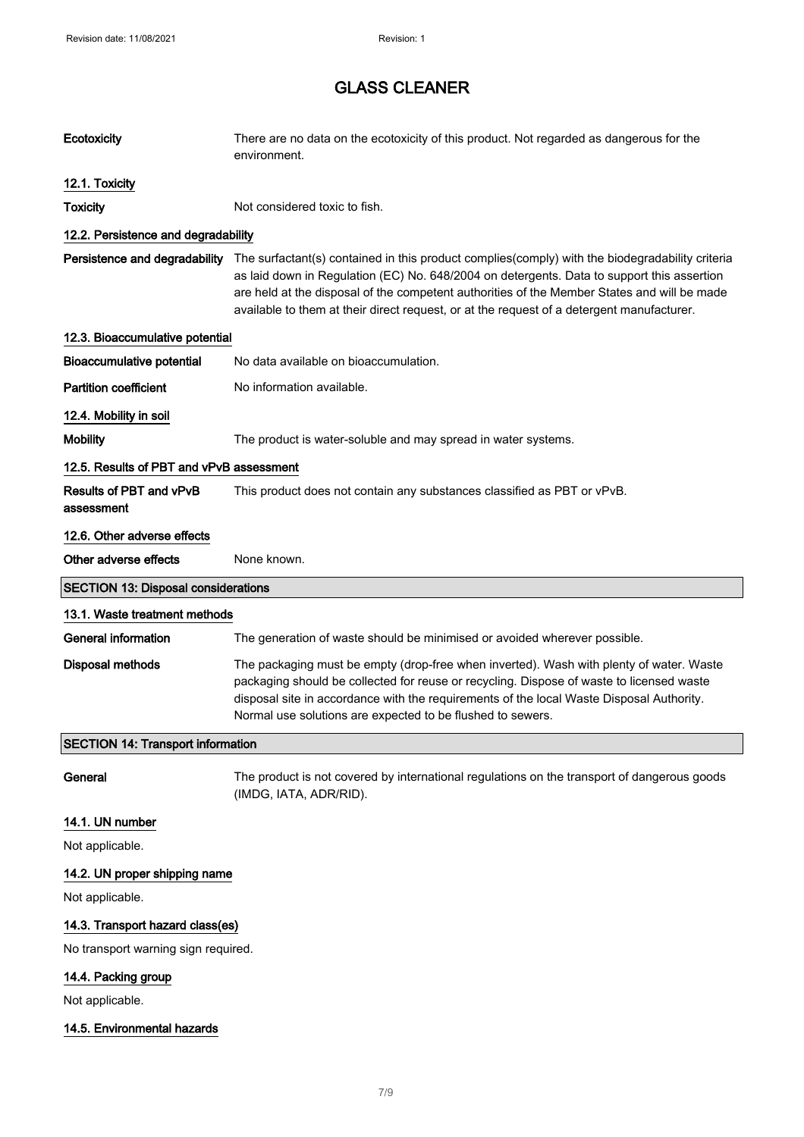| Ecotoxicity                                | There are no data on the ecotoxicity of this product. Not regarded as dangerous for the<br>environment.                                                                                                                                                                                                                                                                                   |
|--------------------------------------------|-------------------------------------------------------------------------------------------------------------------------------------------------------------------------------------------------------------------------------------------------------------------------------------------------------------------------------------------------------------------------------------------|
| 12.1. Toxicity                             |                                                                                                                                                                                                                                                                                                                                                                                           |
| <b>Toxicity</b>                            | Not considered toxic to fish.                                                                                                                                                                                                                                                                                                                                                             |
| 12.2. Persistence and degradability        |                                                                                                                                                                                                                                                                                                                                                                                           |
| Persistence and degradability              | The surfactant(s) contained in this product complies(comply) with the biodegradability criteria<br>as laid down in Regulation (EC) No. 648/2004 on detergents. Data to support this assertion<br>are held at the disposal of the competent authorities of the Member States and will be made<br>available to them at their direct request, or at the request of a detergent manufacturer. |
| 12.3. Bioaccumulative potential            |                                                                                                                                                                                                                                                                                                                                                                                           |
| <b>Bioaccumulative potential</b>           | No data available on bioaccumulation.                                                                                                                                                                                                                                                                                                                                                     |
| <b>Partition coefficient</b>               | No information available.                                                                                                                                                                                                                                                                                                                                                                 |
| 12.4. Mobility in soil                     |                                                                                                                                                                                                                                                                                                                                                                                           |
| <b>Mobility</b>                            | The product is water-soluble and may spread in water systems.                                                                                                                                                                                                                                                                                                                             |
| 12.5. Results of PBT and vPvB assessment   |                                                                                                                                                                                                                                                                                                                                                                                           |
| Results of PBT and vPvB<br>assessment      | This product does not contain any substances classified as PBT or vPvB.                                                                                                                                                                                                                                                                                                                   |
| 12.6. Other adverse effects                |                                                                                                                                                                                                                                                                                                                                                                                           |
| Other adverse effects                      | None known.                                                                                                                                                                                                                                                                                                                                                                               |
| <b>SECTION 13: Disposal considerations</b> |                                                                                                                                                                                                                                                                                                                                                                                           |
| 13.1. Waste treatment methods              |                                                                                                                                                                                                                                                                                                                                                                                           |
|                                            |                                                                                                                                                                                                                                                                                                                                                                                           |
| <b>General information</b>                 | The generation of waste should be minimised or avoided wherever possible.                                                                                                                                                                                                                                                                                                                 |
| <b>Disposal methods</b>                    | The packaging must be empty (drop-free when inverted). Wash with plenty of water. Waste<br>packaging should be collected for reuse or recycling. Dispose of waste to licensed waste<br>disposal site in accordance with the requirements of the local Waste Disposal Authority.<br>Normal use solutions are expected to be flushed to sewers.                                             |
| <b>SECTION 14: Transport information</b>   |                                                                                                                                                                                                                                                                                                                                                                                           |
| General                                    | The product is not covered by international regulations on the transport of dangerous goods<br>(IMDG, IATA, ADR/RID).                                                                                                                                                                                                                                                                     |
| 14.1. UN number                            |                                                                                                                                                                                                                                                                                                                                                                                           |
| Not applicable.                            |                                                                                                                                                                                                                                                                                                                                                                                           |
| 14.2. UN proper shipping name              |                                                                                                                                                                                                                                                                                                                                                                                           |
| Not applicable.                            |                                                                                                                                                                                                                                                                                                                                                                                           |
| 14.3. Transport hazard class(es)           |                                                                                                                                                                                                                                                                                                                                                                                           |
| No transport warning sign required.        |                                                                                                                                                                                                                                                                                                                                                                                           |
| 14.4. Packing group                        |                                                                                                                                                                                                                                                                                                                                                                                           |
| Not applicable.                            |                                                                                                                                                                                                                                                                                                                                                                                           |
| 14.5. Environmental hazards                |                                                                                                                                                                                                                                                                                                                                                                                           |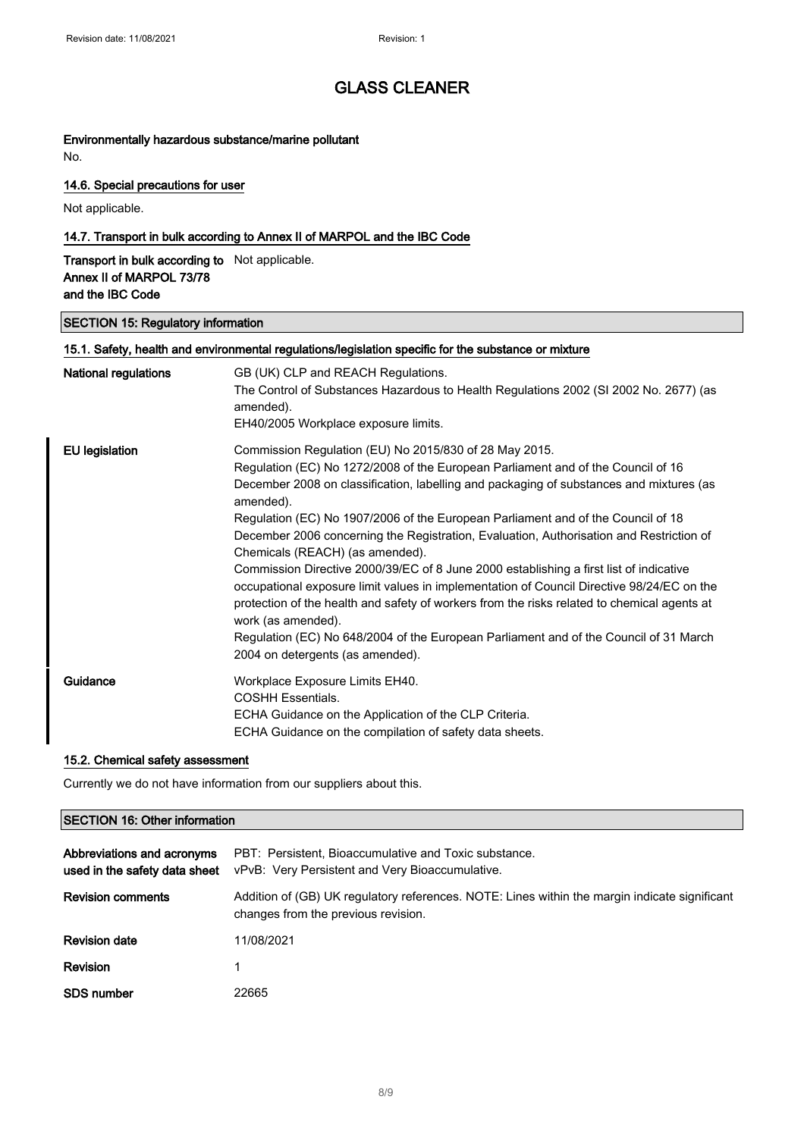## Environmentally hazardous substance/marine pollutant

No.

#### 14.6. Special precautions for user

Not applicable.

#### 14.7. Transport in bulk according to Annex II of MARPOL and the IBC Code

Transport in bulk according to Not applicable. Annex II of MARPOL 73/78 and the IBC Code

#### SECTION 15: Regulatory information

| <b>National regulations</b> | GB (UK) CLP and REACH Regulations.                                                                                         |
|-----------------------------|----------------------------------------------------------------------------------------------------------------------------|
|                             | The Control of Substances Hazardous to Health Regulations 2002 (SI 2002 No. 2677) (as                                      |
|                             | amended).                                                                                                                  |
|                             | EH40/2005 Workplace exposure limits.                                                                                       |
| <b>EU</b> legislation       | Commission Regulation (EU) No 2015/830 of 28 May 2015.                                                                     |
|                             | Regulation (EC) No 1272/2008 of the European Parliament and of the Council of 16                                           |
|                             | December 2008 on classification, labelling and packaging of substances and mixtures (as<br>amended).                       |
|                             | Regulation (EC) No 1907/2006 of the European Parliament and of the Council of 18                                           |
|                             | December 2006 concerning the Registration, Evaluation, Authorisation and Restriction of<br>Chemicals (REACH) (as amended). |
|                             | Commission Directive 2000/39/EC of 8 June 2000 establishing a first list of indicative                                     |
|                             | occupational exposure limit values in implementation of Council Directive 98/24/EC on the                                  |
|                             | protection of the health and safety of workers from the risks related to chemical agents at<br>work (as amended).          |
|                             | Regulation (EC) No 648/2004 of the European Parliament and of the Council of 31 March                                      |
|                             | 2004 on detergents (as amended).                                                                                           |
| Guidance                    | Workplace Exposure Limits EH40.                                                                                            |
|                             | <b>COSHH Essentials.</b>                                                                                                   |
|                             | ECHA Guidance on the Application of the CLP Criteria.                                                                      |
|                             | ECHA Guidance on the compilation of safety data sheets.                                                                    |

#### 15.2. Chemical safety assessment

Currently we do not have information from our suppliers about this.

#### SECTION 16: Other information

| Abbreviations and acronyms<br>used in the safety data sheet | PBT: Persistent, Bioaccumulative and Toxic substance.<br>vPvB: Very Persistent and Very Bioaccumulative.                             |
|-------------------------------------------------------------|--------------------------------------------------------------------------------------------------------------------------------------|
| <b>Revision comments</b>                                    | Addition of (GB) UK regulatory references. NOTE: Lines within the margin indicate significant<br>changes from the previous revision. |
| <b>Revision date</b>                                        | 11/08/2021                                                                                                                           |
| Revision                                                    |                                                                                                                                      |
| <b>SDS number</b>                                           | 22665                                                                                                                                |